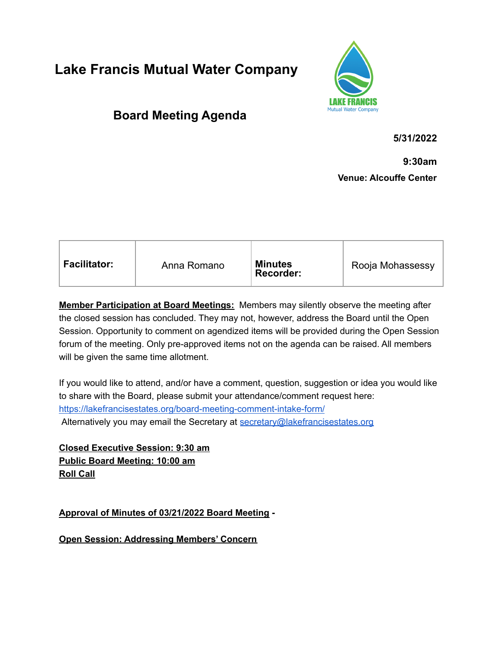## **Lake Francis Mutual Water Company**



## **Board Meeting Agenda**

**5/31/2022**

**9:30am**

**Venue: Alcouffe Center**

| <b>Facilitator:</b><br><b>Minutes</b><br>Rooja Mohassessy<br>Anna Romano<br>Recorder: |  |
|---------------------------------------------------------------------------------------|--|
|---------------------------------------------------------------------------------------|--|

**Member Participation at Board Meetings:** Members may silently observe the meeting after the closed session has concluded. They may not, however, address the Board until the Open Session. Opportunity to comment on agendized items will be provided during the Open Session forum of the meeting. Only pre-approved items not on the agenda can be raised. All members will be given the same time allotment.

If you would like to attend, and/or have a comment, question, suggestion or idea you would like to share with the Board, please submit your attendance/comment request here: <https://lakefrancisestates.org/board-meeting-comment-intake-form/> Alternatively you may email the Secretary at [secretary@lakefrancisestates.org](mailto:secretary@lakefrancisestates.org)

**Closed Executive Session: 9:30 am Public Board Meeting: 10:00 am Roll Call**

**Approval of Minutes of 03/21/2022 Board Meeting -**

**Open Session: Addressing Members' Concern**